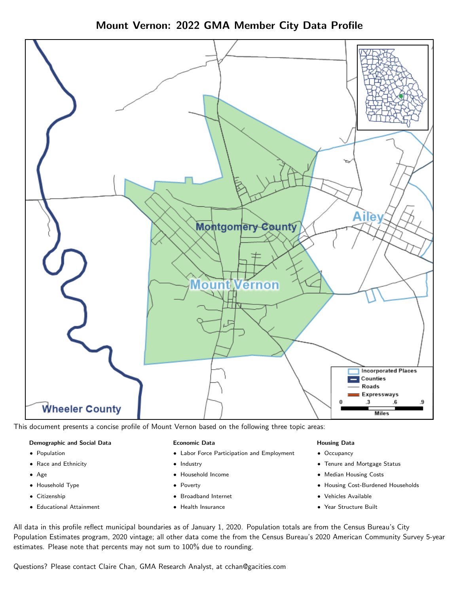

Mount Vernon: 2022 GMA Member City Data Profile

This document presents a concise profile of Mount Vernon based on the following three topic areas:

## Demographic and Social Data

- **•** Population
- Race and Ethnicity
- Age
- Household Type
- **Citizenship**
- Educational Attainment

## Economic Data

- Labor Force Participation and Employment
- Industry
- Household Income
- Poverty
- Broadband Internet
- Health Insurance

## Housing Data

- Occupancy
- Tenure and Mortgage Status
- Median Housing Costs
- Housing Cost-Burdened Households
- Vehicles Available
- Year Structure Built

All data in this profile reflect municipal boundaries as of January 1, 2020. Population totals are from the Census Bureau's City Population Estimates program, 2020 vintage; all other data come the from the Census Bureau's 2020 American Community Survey 5-year estimates. Please note that percents may not sum to 100% due to rounding.

Questions? Please contact Claire Chan, GMA Research Analyst, at [cchan@gacities.com.](mailto:cchan@gacities.com)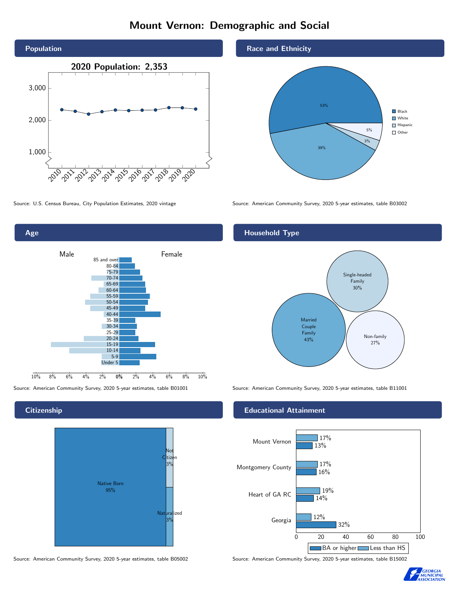# Mount Vernon: Demographic and Social





## **Citizenship**



Source: American Community Survey, 2020 5-year estimates, table B05002 Source: American Community Survey, 2020 5-year estimates, table B15002



39%

3% 5% **Black White** Hispanic Other

53%

Source: U.S. Census Bureau, City Population Estimates, 2020 vintage Source: American Community Survey, 2020 5-year estimates, table B03002

## Household Type

Race and Ethnicity



Source: American Community Survey, 2020 5-year estimates, table B01001 Source: American Community Survey, 2020 5-year estimates, table B11001

#### Educational Attainment



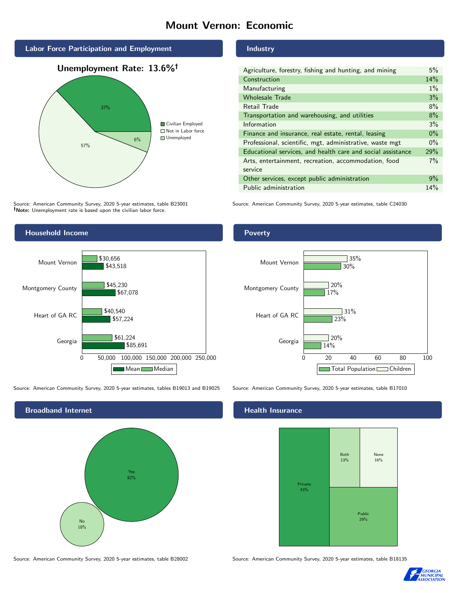# Mount Vernon: Economic



# 57% 6% Civilian Employed ■ Not in Labor force ■ Unemployed

Source: American Community Survey, 2020 5-year estimates, table B23001 Note: Unemployment rate is based upon the civilian labor force.



| Agriculture, forestry, fishing and hunting, and mining      | 5%    |
|-------------------------------------------------------------|-------|
| Construction                                                | 14%   |
| Manufacturing                                               | $1\%$ |
| <b>Wholesale Trade</b>                                      | 3%    |
| Retail Trade                                                | 8%    |
| Transportation and warehousing, and utilities               | $8\%$ |
| Information                                                 | 3%    |
| Finance and insurance, real estate, rental, leasing         | $0\%$ |
| Professional, scientific, mgt, administrative, waste mgt    | $0\%$ |
| Educational services, and health care and social assistance | 29%   |
| Arts, entertainment, recreation, accommodation, food        | 7%    |
| service                                                     |       |
| Other services, except public administration                | 9%    |
| Public administration                                       | 14%   |

Source: American Community Survey, 2020 5-year estimates, table C24030



Source: American Community Survey, 2020 5-year estimates, tables B19013 and B19025 Source: American Community Survey, 2020 5-year estimates, table B17010



Source: American Community Survey, 2020 5-year estimates, table B28002 Source: American Community Survey, 2020 5-year estimates, table B18135

Poverty



## Health Insurance